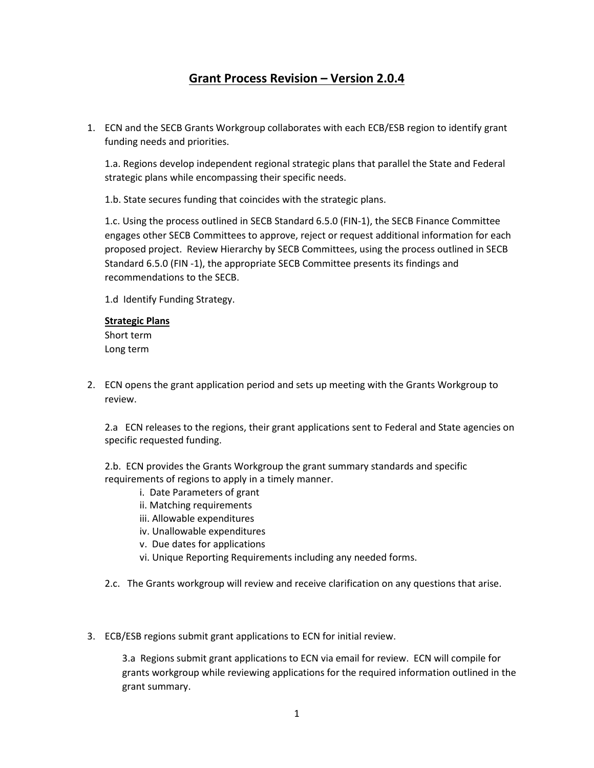# **Grant Process Revision – Version 2.0.4**

1. ECN and the SECB Grants Workgroup collaborates with each ECB/ESB region to identify grant funding needs and priorities.

1.a. Regions develop independent regional strategic plans that parallel the State and Federal strategic plans while encompassing their specific needs.

1.b. State secures funding that coincides with the strategic plans.

1.c. Using the process outlined in SECB Standard 6.5.0 (FIN-1), the SECB Finance Committee engages other SECB Committees to approve, reject or request additional information for each proposed project. Review Hierarchy by SECB Committees, using the process outlined in SECB Standard 6.5.0 (FIN -1), the appropriate SECB Committee presents its findings and recommendations to the SECB.

1.d Identify Funding Strategy.

## **Strategic Plans**

Short term Long term

2. ECN opens the grant application period and sets up meeting with the Grants Workgroup to review.

2.a ECN releases to the regions, their grant applications sent to Federal and State agencies on specific requested funding.

2.b. ECN provides the Grants Workgroup the grant summary standards and specific requirements of regions to apply in a timely manner.

- i. Date Parameters of grant
- ii. Matching requirements
- iii. Allowable expenditures
- iv. Unallowable expenditures
- v. Due dates for applications
- vi. Unique Reporting Requirements including any needed forms.
- 2.c. The Grants workgroup will review and receive clarification on any questions that arise.
- 3. ECB/ESB regions submit grant applications to ECN for initial review.

3.a Regions submit grant applications to ECN via email for review. ECN will compile for grants workgroup while reviewing applications for the required information outlined in the grant summary.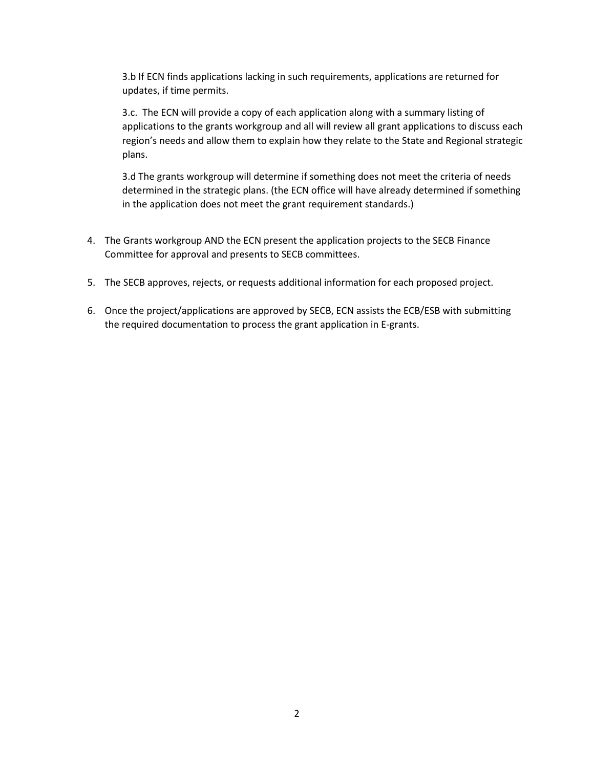3.b If ECN finds applications lacking in such requirements, applications are returned for updates, if time permits.

3.c. The ECN will provide a copy of each application along with a summary listing of applications to the grants workgroup and all will review all grant applications to discuss each region's needs and allow them to explain how they relate to the State and Regional strategic plans.

3.d The grants workgroup will determine if something does not meet the criteria of needs determined in the strategic plans. (the ECN office will have already determined if something in the application does not meet the grant requirement standards.)

- 4. The Grants workgroup AND the ECN present the application projects to the SECB Finance Committee for approval and presents to SECB committees.
- 5. The SECB approves, rejects, or requests additional information for each proposed project.
- 6. Once the project/applications are approved by SECB, ECN assists the ECB/ESB with submitting the required documentation to process the grant application in E-grants.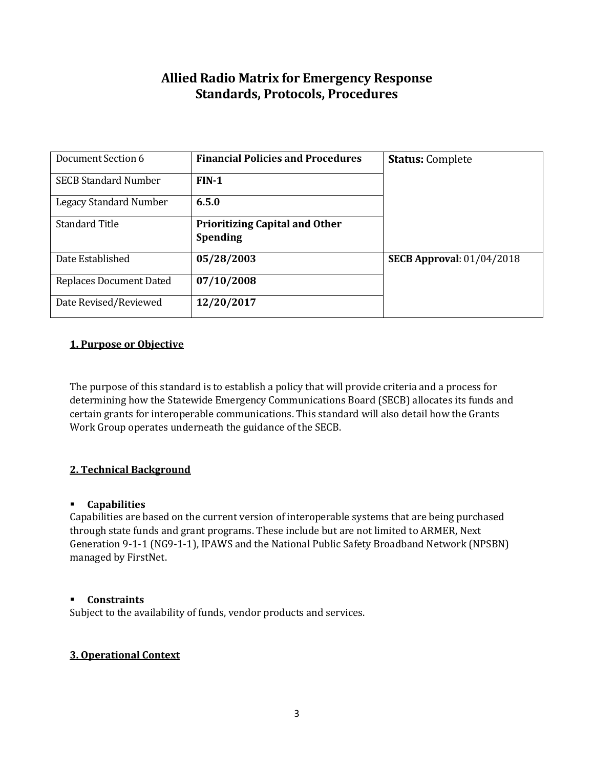# **Allied Radio Matrix for Emergency Response Standards, Protocols, Procedures**

| Document Section 6            | <b>Financial Policies and Procedures</b>                 | <b>Status: Complete</b>          |
|-------------------------------|----------------------------------------------------------|----------------------------------|
| <b>SECB Standard Number</b>   | $FIN-1$                                                  |                                  |
| <b>Legacy Standard Number</b> | 6.5.0                                                    |                                  |
| <b>Standard Title</b>         | <b>Prioritizing Capital and Other</b><br><b>Spending</b> |                                  |
| Date Established              | 05/28/2003                                               | <b>SECB Approval: 01/04/2018</b> |
| Replaces Document Dated       | 07/10/2008                                               |                                  |
| Date Revised/Reviewed         | 12/20/2017                                               |                                  |

# **1. Purpose or Objective**

The purpose of this standard is to establish a policy that will provide criteria and a process for determining how the Statewide Emergency Communications Board (SECB) allocates its funds and certain grants for interoperable communications. This standard will also detail how the Grants Work Group operates underneath the guidance of the SECB.

# **2. Technical Background**

### **Capabilities**

Capabilities are based on the current version of interoperable systems that are being purchased through state funds and grant programs. These include but are not limited to ARMER, Next Generation 9-1-1 (NG9-1-1), IPAWS and the National Public Safety Broadband Network (NPSBN) managed by FirstNet.

### **Constraints**

Subject to the availability of funds, vendor products and services.

### **3. Operational Context**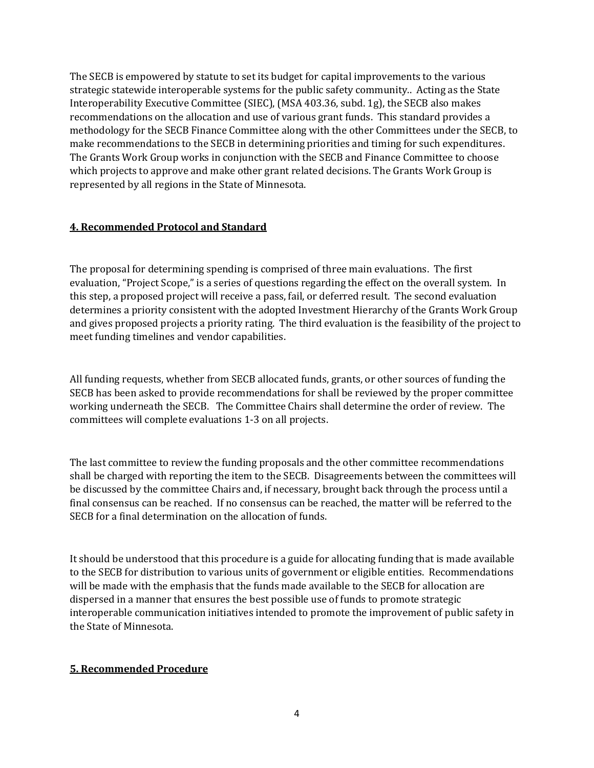The SECB is empowered by statute to set its budget for capital improvements to the various strategic statewide interoperable systems for the public safety community.. Acting as the State Interoperability Executive Committee (SIEC), (MSA 403.36, subd. 1g), the SECB also makes recommendations on the allocation and use of various grant funds. This standard provides a methodology for the SECB Finance Committee along with the other Committees under the SECB, to make recommendations to the SECB in determining priorities and timing for such expenditures. The Grants Work Group works in conjunction with the SECB and Finance Committee to choose which projects to approve and make other grant related decisions. The Grants Work Group is represented by all regions in the State of Minnesota.

# **4. Recommended Protocol and Standard**

The proposal for determining spending is comprised of three main evaluations. The first evaluation, "Project Scope," is a series of questions regarding the effect on the overall system. In this step, a proposed project will receive a pass, fail, or deferred result. The second evaluation determines a priority consistent with the adopted Investment Hierarchy of the Grants Work Group and gives proposed projects a priority rating. The third evaluation is the feasibility of the project to meet funding timelines and vendor capabilities.

All funding requests, whether from SECB allocated funds, grants, or other sources of funding the SECB has been asked to provide recommendations for shall be reviewed by the proper committee working underneath the SECB. The Committee Chairs shall determine the order of review. The committees will complete evaluations 1-3 on all projects.

The last committee to review the funding proposals and the other committee recommendations shall be charged with reporting the item to the SECB. Disagreements between the committees will be discussed by the committee Chairs and, if necessary, brought back through the process until a final consensus can be reached. If no consensus can be reached, the matter will be referred to the SECB for a final determination on the allocation of funds.

It should be understood that this procedure is a guide for allocating funding that is made available to the SECB for distribution to various units of government or eligible entities. Recommendations will be made with the emphasis that the funds made available to the SECB for allocation are dispersed in a manner that ensures the best possible use of funds to promote strategic interoperable communication initiatives intended to promote the improvement of public safety in the State of Minnesota.

# **5. Recommended Procedure**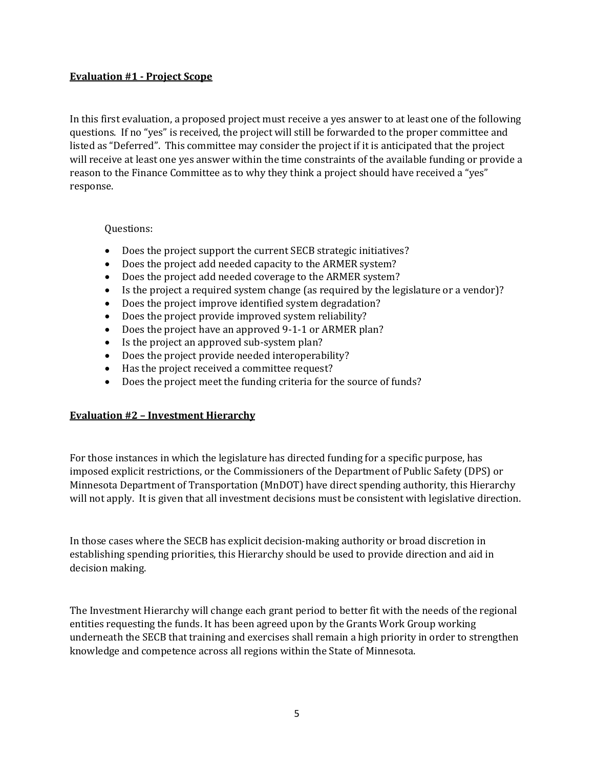## **Evaluation #1 - Project Scope**

In this first evaluation, a proposed project must receive a yes answer to at least one of the following questions. If no "yes" is received, the project will still be forwarded to the proper committee and listed as "Deferred". This committee may consider the project if it is anticipated that the project will receive at least one yes answer within the time constraints of the available funding or provide a reason to the Finance Committee as to why they think a project should have received a "yes" response.

## Questions:

- Does the project support the current SECB strategic initiatives?
- Does the project add needed capacity to the ARMER system?
- Does the project add needed coverage to the ARMER system?
- Is the project a required system change (as required by the legislature or a vendor)?
- Does the project improve identified system degradation?
- Does the project provide improved system reliability?
- Does the project have an approved 9-1-1 or ARMER plan?
- Is the project an approved sub-system plan?
- Does the project provide needed interoperability?
- Has the project received a committee request?
- Does the project meet the funding criteria for the source of funds?

# **Evaluation #2 – Investment Hierarchy**

For those instances in which the legislature has directed funding for a specific purpose, has imposed explicit restrictions, or the Commissioners of the Department of Public Safety (DPS) or Minnesota Department of Transportation (MnDOT) have direct spending authority, this Hierarchy will not apply. It is given that all investment decisions must be consistent with legislative direction.

In those cases where the SECB has explicit decision-making authority or broad discretion in establishing spending priorities, this Hierarchy should be used to provide direction and aid in decision making.

The Investment Hierarchy will change each grant period to better fit with the needs of the regional entities requesting the funds. It has been agreed upon by the Grants Work Group working underneath the SECB that training and exercises shall remain a high priority in order to strengthen knowledge and competence across all regions within the State of Minnesota.